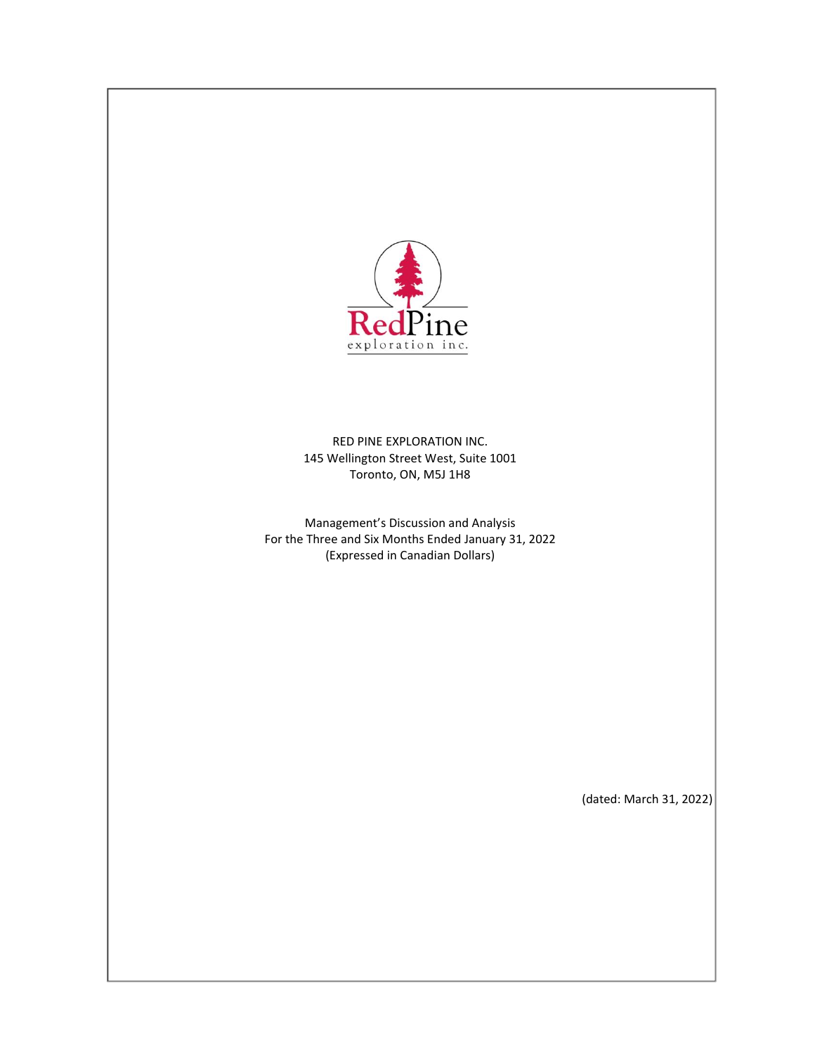

RED PINE EXPLORATION INC. 145 Wellington Street West, Suite 1001 Toronto, ON, M5J 1H8

Management's Discussion and Analysis For the Three and Six Months Ended January 31, 2022 (Expressed in Canadian Dollars)

(dated: March 31, 2022)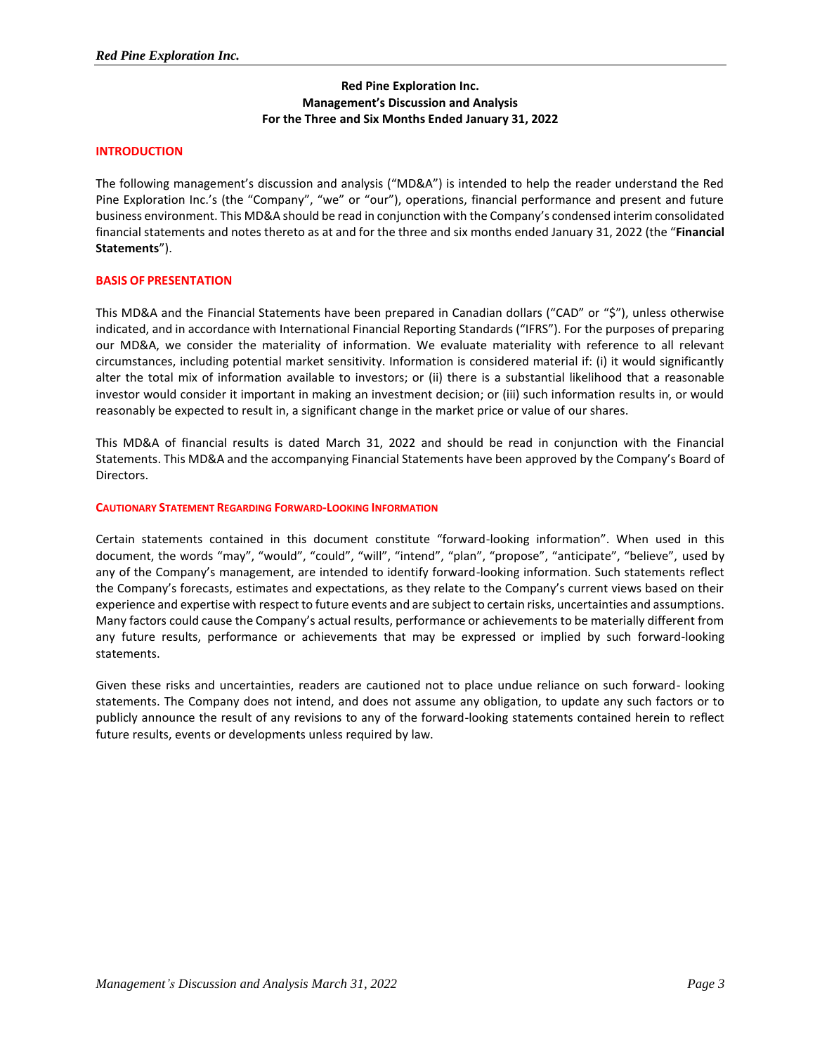## **Red Pine Exploration Inc. Management's Discussion and Analysis For the Three and Six Months Ended January 31, 2022**

### **INTRODUCTION**

The following management's discussion and analysis ("MD&A") is intended to help the reader understand the Red Pine Exploration Inc.'s (the "Company", "we" or "our"), operations, financial performance and present and future business environment. This MD&A should be read in conjunction with the Company's condensed interim consolidated financial statements and notes thereto as at and for the three and six months ended January 31, 2022 (the "**Financial Statements**").

#### **BASIS OF PRESENTATION**

This MD&A and the Financial Statements have been prepared in Canadian dollars ("CAD" or "\$"), unless otherwise indicated, and in accordance with International Financial Reporting Standards ("IFRS"). For the purposes of preparing our MD&A, we consider the materiality of information. We evaluate materiality with reference to all relevant circumstances, including potential market sensitivity. Information is considered material if: (i) it would significantly alter the total mix of information available to investors; or (ii) there is a substantial likelihood that a reasonable investor would consider it important in making an investment decision; or (iii) such information results in, or would reasonably be expected to result in, a significant change in the market price or value of our shares.

This MD&A of financial results is dated March 31, 2022 and should be read in conjunction with the Financial Statements. This MD&A and the accompanying Financial Statements have been approved by the Company's Board of Directors.

#### **CAUTIONARY STATEMENT REGARDING FORWARD-LOOKING INFORMATION**

Certain statements contained in this document constitute "forward-looking information". When used in this document, the words "may", "would", "could", "will", "intend", "plan", "propose", "anticipate", "believe", used by any of the Company's management, are intended to identify forward-looking information. Such statements reflect the Company's forecasts, estimates and expectations, as they relate to the Company's current views based on their experience and expertise with respect to future events and are subject to certain risks, uncertainties and assumptions. Many factors could cause the Company's actual results, performance or achievements to be materially different from any future results, performance or achievements that may be expressed or implied by such forward-looking statements.

Given these risks and uncertainties, readers are cautioned not to place undue reliance on such forward- looking statements. The Company does not intend, and does not assume any obligation, to update any such factors or to publicly announce the result of any revisions to any of the forward-looking statements contained herein to reflect future results, events or developments unless required by law.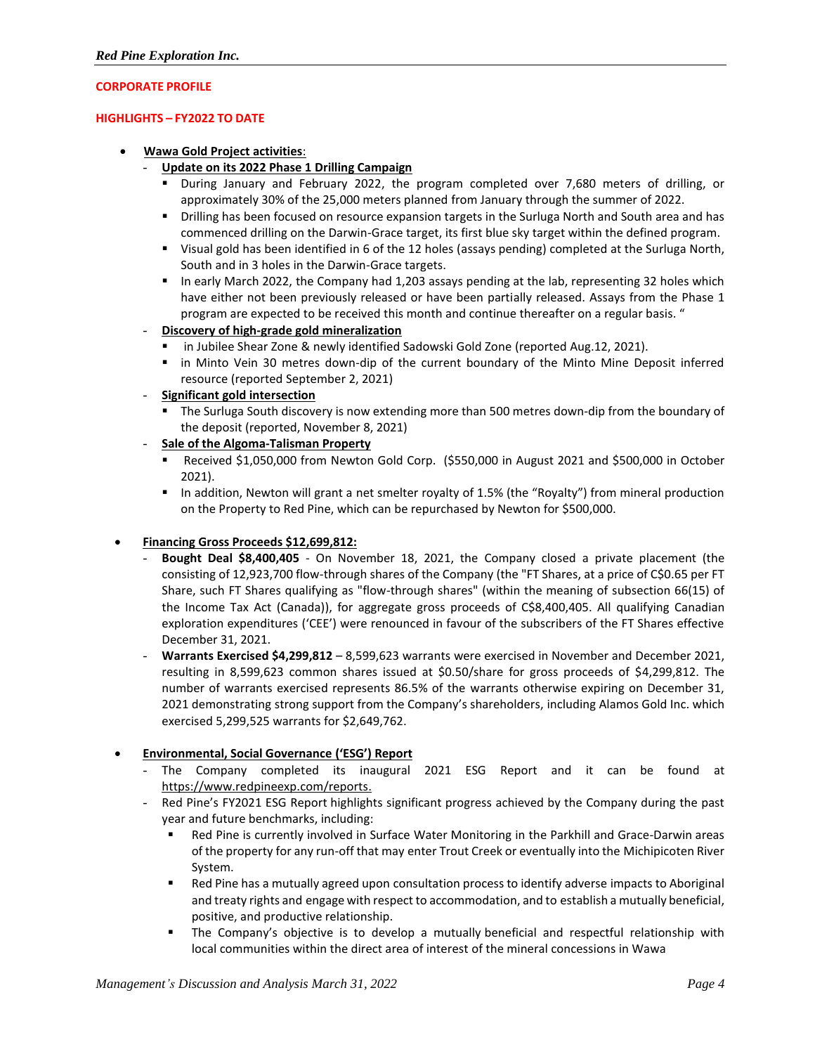## **CORPORATE PROFILE**

### **HIGHLIGHTS – FY2022 TO DATE**

### • **Wawa Gold Project activities**:

## - **Update on its 2022 Phase 1 Drilling Campaign**

- During January and February 2022, the program completed over 7,680 meters of drilling, or approximately 30% of the 25,000 meters planned from January through the summer of 2022.
- **•** Drilling has been focused on resource expansion targets in the Surluga North and South area and has commenced drilling on the Darwin-Grace target, its first blue sky target within the defined program.
- Visual gold has been identified in 6 of the 12 holes (assays pending) completed at the Surluga North, South and in 3 holes in the Darwin-Grace targets.
- In early March 2022, the Company had 1,203 assays pending at the lab, representing 32 holes which have either not been previously released or have been partially released. Assays from the Phase 1 program are expected to be received this month and continue thereafter on a regular basis. "

## - **Discovery of high-grade gold mineralization**

- in Jubilee Shear Zone & newly identified Sadowski Gold Zone (reported Aug.12, 2021).
- in Minto Vein 30 metres down-dip of the current boundary of the Minto Mine Deposit inferred resource (reported September 2, 2021)

## - **Significant gold intersection**

- **The Surluga South discovery is now extending more than 500 metres down-dip from the boundary of** the deposit (reported, November 8, 2021)
- **Sale of the Algoma-Talisman Property**
	- Received \$1,050,000 from Newton Gold Corp. (\$550,000 in August 2021 and \$500,000 in October 2021).
	- In addition, Newton will grant a net smelter royalty of 1.5% (the "Royalty") from mineral production on the Property to Red Pine, which can be repurchased by Newton for \$500,000.

## • **Financing Gross Proceeds \$12,699,812:**

- **Bought Deal \$8,400,405** On November 18, 2021, the Company closed a private placement (the consisting of 12,923,700 flow-through shares of the Company (the "FT Shares, at a price of C\$0.65 per FT Share, such FT Shares qualifying as "flow-through shares" (within the meaning of subsection 66(15) of the Income Tax Act (Canada)), for aggregate gross proceeds of C\$8,400,405. All qualifying Canadian exploration expenditures ('CEE') were renounced in favour of the subscribers of the FT Shares effective December 31, 2021.
- **Warrants Exercised \$4,299,812** 8,599,623 warrants were exercised in November and December 2021, resulting in 8,599,623 common shares issued at \$0.50/share for gross proceeds of \$4,299,812. The number of warrants exercised represents 86.5% of the warrants otherwise expiring on December 31, 2021 demonstrating strong support from the Company's shareholders, including Alamos Gold Inc. which exercised 5,299,525 warrants for \$2,649,762.

## • **Environmental, Social Governance ('ESG') Report**

- The Company completed its inaugural 2021 ESG Report and it can be found at [https://www.redpineexp.com/reports.](https://www.redpineexp.com/reports)
- Red Pine's FY2021 ESG Report highlights significant progress achieved by the Company during the past year and future benchmarks, including:
	- Red Pine is currently involved in Surface Water Monitoring in the Parkhill and Grace-Darwin areas of the property for any run-off that may enter Trout Creek or eventually into the Michipicoten River System.
	- Red Pine has a mutually agreed upon consultation process to identify adverse impacts to Aboriginal and treaty rights and engage with respect to accommodation, and to establish a mutually beneficial, positive, and productive relationship.
	- **■** The Company's objective is to develop a mutually beneficial and respectful relationship with local communities within the direct area of interest of the mineral concessions in Wawa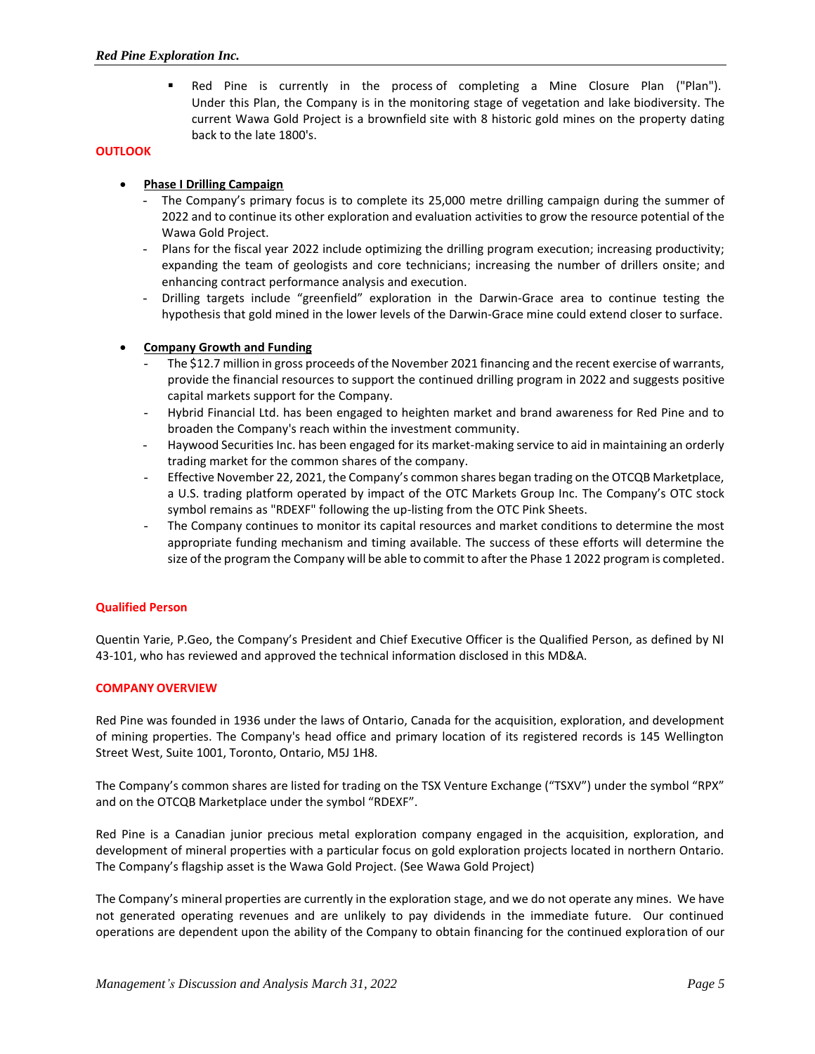▪ Red Pine is currently in the process of completing a Mine Closure Plan ("Plan"). Under this Plan, the Company is in the monitoring stage of vegetation and lake biodiversity. The current Wawa Gold Project is a brownfield site with 8 historic gold mines on the property dating back to the late 1800's.

# **OUTLOOK**

# • **Phase I Drilling Campaign**

- The Company's primary focus is to complete its 25,000 metre drilling campaign during the summer of 2022 and to continue its other exploration and evaluation activities to grow the resource potential of the Wawa Gold Project.
- Plans for the fiscal year 2022 include optimizing the drilling program execution; increasing productivity; expanding the team of geologists and core technicians; increasing the number of drillers onsite; and enhancing contract performance analysis and execution.
- Drilling targets include "greenfield" exploration in the Darwin-Grace area to continue testing the hypothesis that gold mined in the lower levels of the Darwin-Grace mine could extend closer to surface.

## • **Company Growth and Funding**

- The \$12.7 million in gross proceeds of the November 2021 financing and the recent exercise of warrants, provide the financial resources to support the continued drilling program in 2022 and suggests positive capital markets support for the Company.
- Hybrid Financial Ltd. has been engaged to heighten market and brand awareness for Red Pine and to broaden the Company's reach within the investment community.
- Haywood Securities Inc. has been engaged for its market-making service to aid in maintaining an orderly trading market for the common shares of the company.
- Effective November 22, 2021, the Company's common shares began trading on the OTCQB Marketplace, a U.S. trading platform operated by impact of the OTC Markets Group Inc. The Company's OTC stock symbol remains as "RDEXF" following the up-listing from the OTC Pink Sheets.
- The Company continues to monitor its capital resources and market conditions to determine the most appropriate funding mechanism and timing available. The success of these efforts will determine the size of the program the Company will be able to commit to after the Phase 1 2022 program is completed.

## **Qualified Person**

Quentin Yarie, P.Geo, the Company's President and Chief Executive Officer is the Qualified Person, as defined by NI 43-101, who has reviewed and approved the technical information disclosed in this MD&A.

## **COMPANY OVERVIEW**

Red Pine was founded in 1936 under the laws of Ontario, Canada for the acquisition, exploration, and development of mining properties. The Company's head office and primary location of its registered records is 145 Wellington Street West, Suite 1001, Toronto, Ontario, M5J 1H8.

The Company's common shares are listed for trading on the TSX Venture Exchange ("TSXV") under the symbol "RPX" and on the OTCQB Marketplace under the symbol "RDEXF".

Red Pine is a Canadian junior precious metal exploration company engaged in the acquisition, exploration, and development of mineral properties with a particular focus on gold exploration projects located in northern Ontario. The Company's flagship asset is the Wawa Gold Project. (See Wawa Gold Project)

The Company's mineral properties are currently in the exploration stage, and we do not operate any mines. We have not generated operating revenues and are unlikely to pay dividends in the immediate future. Our continued operations are dependent upon the ability of the Company to obtain financing for the continued exploration of our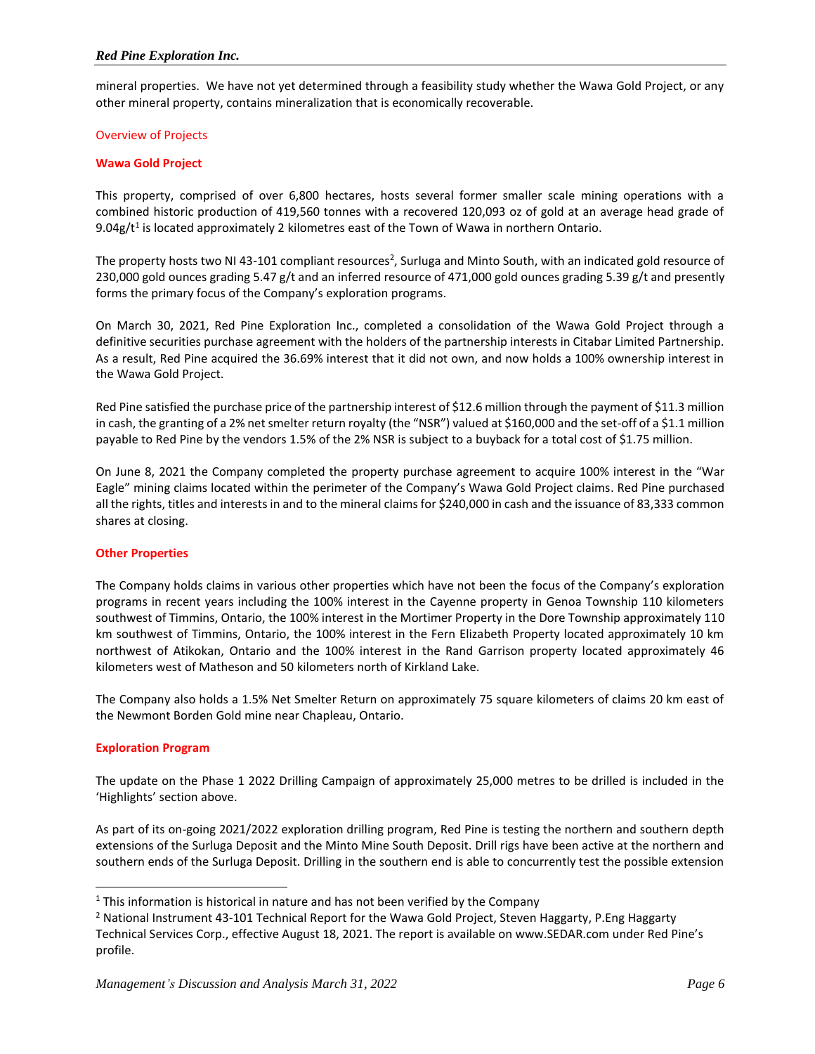mineral properties. We have not yet determined through a feasibility study whether the Wawa Gold Project, or any other mineral property, contains mineralization that is economically recoverable.

## Overview of Projects

## **Wawa Gold Project**

This property, comprised of over 6,800 hectares, hosts several former smaller scale mining operations with a combined historic production of 419,560 tonnes with a recovered 120,093 oz of gold at an average head grade of 9.04g/ $t^1$  is located approximately 2 kilometres east of the Town of Wawa in northern Ontario.

The property hosts two NI 43-101 compliant resources<sup>2</sup>, Surluga and Minto South, with an indicated gold resource of 230,000 gold ounces grading 5.47 g/t and an inferred resource of 471,000 gold ounces grading 5.39 g/t and presently forms the primary focus of the Company's exploration programs.

On March 30, 2021, Red Pine Exploration Inc., completed a consolidation of the Wawa Gold Project through a definitive securities purchase agreement with the holders of the partnership interests in Citabar Limited Partnership. As a result, Red Pine acquired the 36.69% interest that it did not own, and now holds a 100% ownership interest in the Wawa Gold Project.

Red Pine satisfied the purchase price of the partnership interest of \$12.6 million through the payment of \$11.3 million in cash, the granting of a 2% net smelter return royalty (the "NSR") valued at \$160,000 and the set-off of a \$1.1 million payable to Red Pine by the vendors 1.5% of the 2% NSR is subject to a buyback for a total cost of \$1.75 million.

On June 8, 2021 the Company completed the property purchase agreement to acquire 100% interest in the "War Eagle" mining claims located within the perimeter of the Company's Wawa Gold Project claims. Red Pine purchased all the rights, titles and interests in and to the mineral claims for \$240,000 in cash and the issuance of 83,333 common shares at closing.

## **Other Properties**

The Company holds claims in various other properties which have not been the focus of the Company's exploration programs in recent years including the 100% interest in the Cayenne property in Genoa Township 110 kilometers southwest of Timmins, Ontario, the 100% interest in the Mortimer Property in the Dore Township approximately 110 km southwest of Timmins, Ontario, the 100% interest in the Fern Elizabeth Property located approximately 10 km northwest of Atikokan, Ontario and the 100% interest in the Rand Garrison property located approximately 46 kilometers west of Matheson and 50 kilometers north of Kirkland Lake.

The Company also holds a 1.5% Net Smelter Return on approximately 75 square kilometers of claims 20 km east of the Newmont Borden Gold mine near Chapleau, Ontario.

#### **Exploration Program**

The update on the Phase 1 2022 Drilling Campaign of approximately 25,000 metres to be drilled is included in the 'Highlights' section above.

As part of its on-going 2021/2022 exploration drilling program, Red Pine is testing the northern and southern depth extensions of the Surluga Deposit and the Minto Mine South Deposit. Drill rigs have been active at the northern and southern ends of the Surluga Deposit. Drilling in the southern end is able to concurrently test the possible extension

 $1$  This information is historical in nature and has not been verified by the Company

<sup>&</sup>lt;sup>2</sup> National Instrument 43-101 Technical Report for the Wawa Gold Project, Steven Haggarty, P.Eng Haggarty Technical Services Corp., effective August 18, 2021. The report is available on www.SEDAR.com under Red Pine's profile.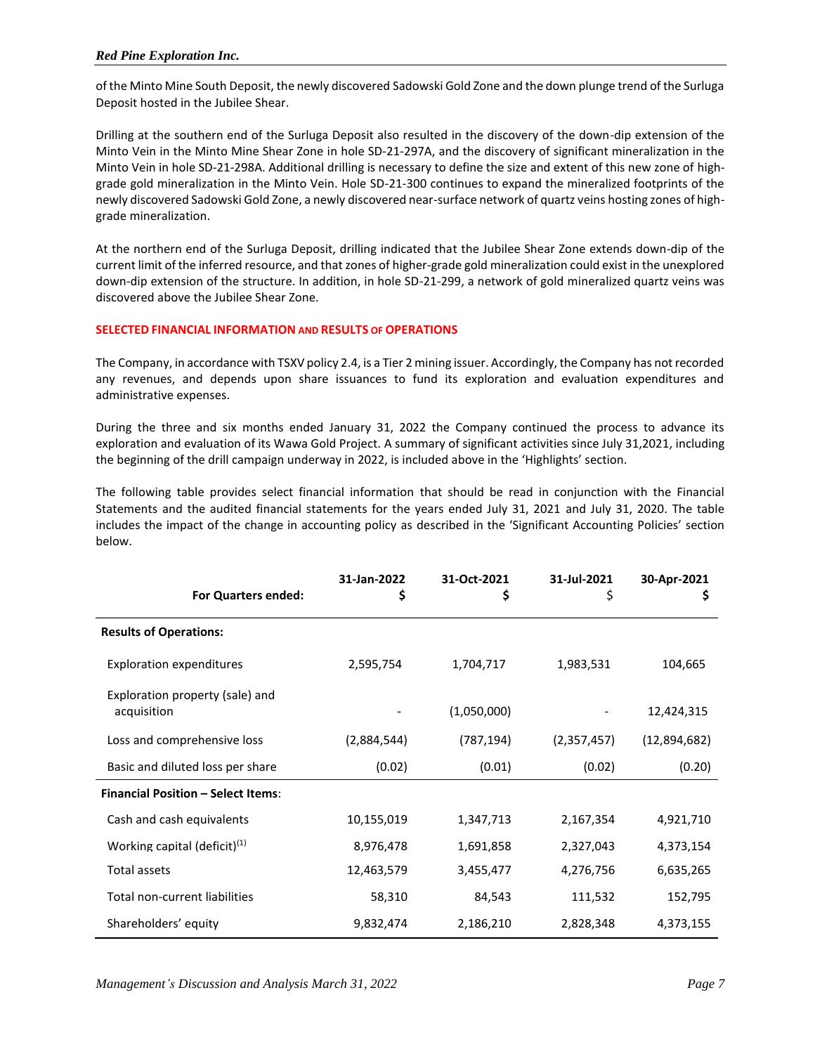of the Minto Mine South Deposit, the newly discovered Sadowski Gold Zone and the down plunge trend of the Surluga Deposit hosted in the Jubilee Shear.

Drilling at the southern end of the Surluga Deposit also resulted in the discovery of the down-dip extension of the Minto Vein in the Minto Mine Shear Zone in hole SD-21-297A, and the discovery of significant mineralization in the Minto Vein in hole SD-21-298A. Additional drilling is necessary to define the size and extent of this new zone of highgrade gold mineralization in the Minto Vein. Hole SD-21-300 continues to expand the mineralized footprints of the newly discovered Sadowski Gold Zone, a newly discovered near-surface network of quartz veins hosting zones of highgrade mineralization.

At the northern end of the Surluga Deposit, drilling indicated that the Jubilee Shear Zone extends down-dip of the current limit of the inferred resource, and that zones of higher-grade gold mineralization could exist in the unexplored down-dip extension of the structure. In addition, in hole SD-21-299, a network of gold mineralized quartz veins was discovered above the Jubilee Shear Zone.

# **SELECTED FINANCIAL INFORMATION AND RESULTS OF OPERATIONS**

The Company, in accordance with TSXV policy 2.4, is a Tier 2 mining issuer. Accordingly, the Company has not recorded any revenues, and depends upon share issuances to fund its exploration and evaluation expenditures and administrative expenses.

During the three and six months ended January 31, 2022 the Company continued the process to advance its exploration and evaluation of its Wawa Gold Project. A summary of significant activities since July 31,2021, including the beginning of the drill campaign underway in 2022, is included above in the 'Highlights' section.

The following table provides select financial information that should be read in conjunction with the Financial Statements and the audited financial statements for the years ended July 31, 2021 and July 31, 2020. The table includes the impact of the change in accounting policy as described in the 'Significant Accounting Policies' section below.

| <b>For Quarters ended:</b>                     | 31-Jan-2022<br>\$ | 31-Oct-2021<br>Ş | 31-Jul-2021<br>\$ | 30-Apr-2021<br>Ş |
|------------------------------------------------|-------------------|------------------|-------------------|------------------|
| <b>Results of Operations:</b>                  |                   |                  |                   |                  |
| <b>Exploration expenditures</b>                | 2,595,754         | 1,704,717        | 1,983,531         | 104,665          |
| Exploration property (sale) and<br>acquisition |                   | (1,050,000)      |                   | 12,424,315       |
| Loss and comprehensive loss                    | (2,884,544)       | (787,194)        | (2,357,457)       | (12,894,682)     |
| Basic and diluted loss per share               | (0.02)            | (0.01)           | (0.02)            | (0.20)           |
| <b>Financial Position - Select Items:</b>      |                   |                  |                   |                  |
| Cash and cash equivalents                      | 10,155,019        | 1,347,713        | 2,167,354         | 4,921,710        |
| Working capital (deficit) <sup>(1)</sup>       | 8,976,478         | 1,691,858        | 2,327,043         | 4,373,154        |
| Total assets                                   | 12,463,579        | 3,455,477        | 4,276,756         | 6,635,265        |
| Total non-current liabilities                  | 58,310            | 84,543           | 111,532           | 152,795          |
| Shareholders' equity                           | 9,832,474         | 2,186,210        | 2,828,348         | 4,373,155        |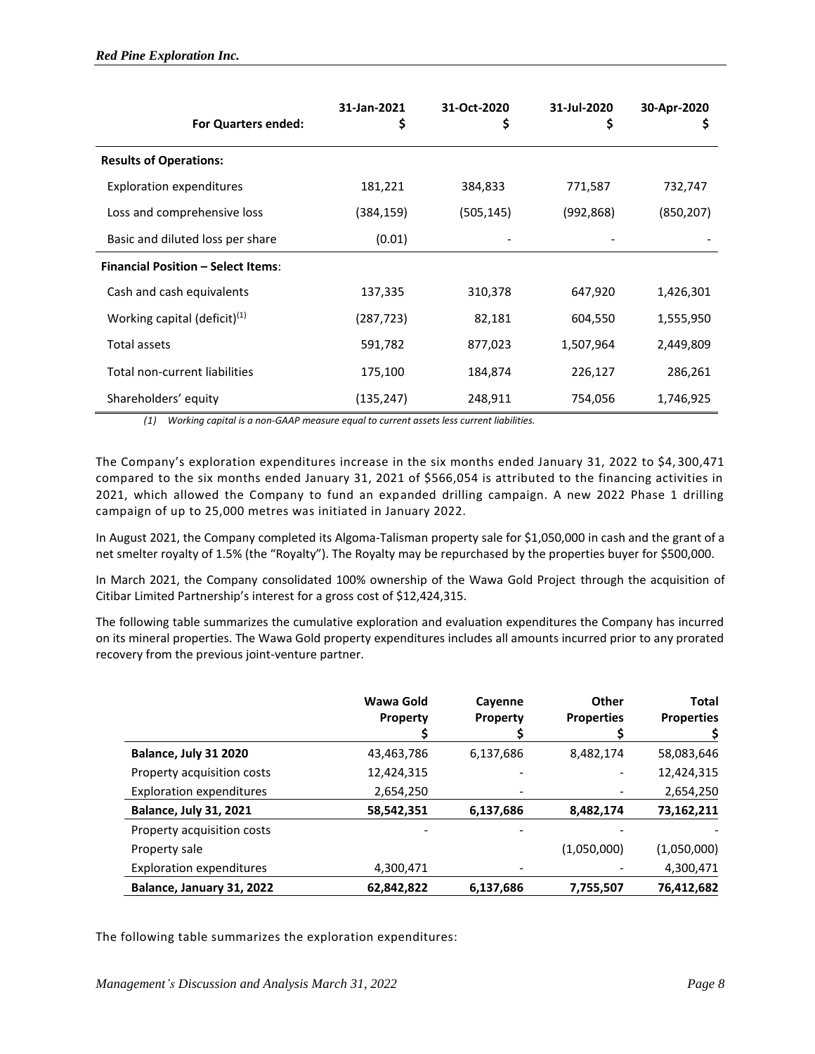| <b>For Quarters ended:</b>                | 31-Jan-2021<br>\$ | 31-Oct-2020<br>\$ | 31-Jul-2020<br>\$ | 30-Apr-2020<br>Ş |
|-------------------------------------------|-------------------|-------------------|-------------------|------------------|
| <b>Results of Operations:</b>             |                   |                   |                   |                  |
| <b>Exploration expenditures</b>           | 181,221           | 384,833           | 771,587           | 732,747          |
| Loss and comprehensive loss               | (384,159)         | (505, 145)        | (992,868)         | (850,207)        |
| Basic and diluted loss per share          | (0.01)            |                   |                   |                  |
| <b>Financial Position - Select Items:</b> |                   |                   |                   |                  |
| Cash and cash equivalents                 | 137,335           | 310,378           | 647,920           | 1,426,301        |
| Working capital (deficit) $(1)$           | (287, 723)        | 82,181            | 604,550           | 1,555,950        |
| Total assets                              | 591,782           | 877,023           | 1,507,964         | 2,449,809        |
| Total non-current liabilities             | 175,100           | 184,874           | 226,127           | 286,261          |
| Shareholders' equity                      | (135, 247)        | 248,911           | 754,056           | 1,746,925        |

*(1) Working capital is a non-GAAP measure equal to current assets less current liabilities.*

The Company's exploration expenditures increase in the six months ended January 31, 2022 to \$4,300,471 compared to the six months ended January 31, 2021 of \$566,054 is attributed to the financing activities in 2021, which allowed the Company to fund an expanded drilling campaign. A new 2022 Phase 1 drilling campaign of up to 25,000 metres was initiated in January 2022.

In August 2021, the Company completed its Algoma-Talisman property sale for \$1,050,000 in cash and the grant of a net smelter royalty of 1.5% (the "Royalty"). The Royalty may be repurchased by the properties buyer for \$500,000.

In March 2021, the Company consolidated 100% ownership of the Wawa Gold Project through the acquisition of Citibar Limited Partnership's interest for a gross cost of \$12,424,315.

The following table summarizes the cumulative exploration and evaluation expenditures the Company has incurred on its mineral properties. The Wawa Gold property expenditures includes all amounts incurred prior to any prorated recovery from the previous joint-venture partner.

|                                 | Wawa Gold<br>Property | Cayenne<br><b>Property</b> | <b>Other</b><br><b>Properties</b> | <b>Total</b><br><b>Properties</b> |
|---------------------------------|-----------------------|----------------------------|-----------------------------------|-----------------------------------|
| Balance, July 31 2020           | 43,463,786            | 6,137,686                  | 8,482,174                         | 58,083,646                        |
| Property acquisition costs      | 12,424,315            |                            |                                   | 12,424,315                        |
| <b>Exploration expenditures</b> | 2,654,250             |                            |                                   | 2,654,250                         |
| <b>Balance, July 31, 2021</b>   | 58,542,351            | 6,137,686                  | 8,482,174                         | 73,162,211                        |
| Property acquisition costs      |                       |                            |                                   |                                   |
| Property sale                   |                       |                            | (1,050,000)                       | (1,050,000)                       |
| Exploration expenditures        | 4,300,471             |                            |                                   | 4,300,471                         |
| Balance, January 31, 2022       | 62,842,822            | 6,137,686                  | 7,755,507                         | 76,412,682                        |

The following table summarizes the exploration expenditures: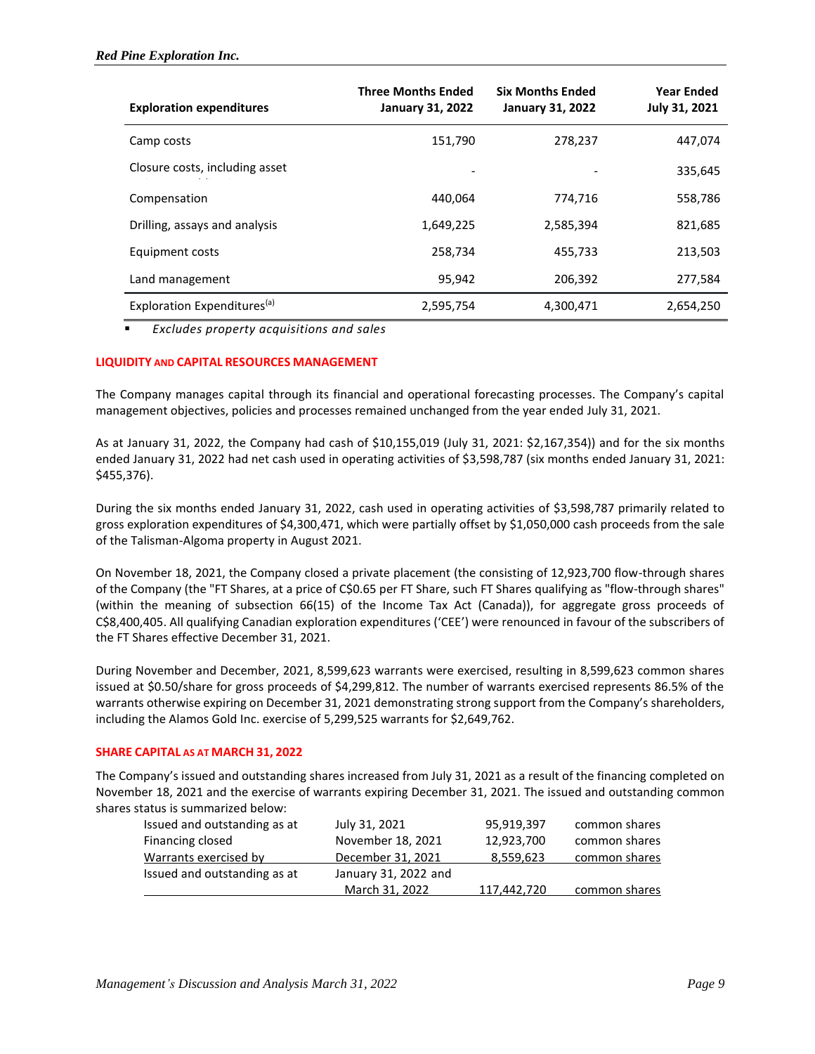| <b>Exploration expenditures</b>         | <b>Three Months Ended</b><br><b>January 31, 2022</b> | <b>Six Months Ended</b><br><b>January 31, 2022</b> | <b>Year Ended</b><br>July 31, 2021 |
|-----------------------------------------|------------------------------------------------------|----------------------------------------------------|------------------------------------|
| Camp costs                              | 151,790                                              | 278,237                                            | 447,074                            |
| Closure costs, including asset          |                                                      |                                                    | 335,645                            |
| Compensation                            | 440.064                                              | 774,716                                            | 558,786                            |
| Drilling, assays and analysis           | 1,649,225                                            | 2,585,394                                          | 821,685                            |
| Equipment costs                         | 258,734                                              | 455,733                                            | 213,503                            |
| Land management                         | 95,942                                               | 206,392                                            | 277,584                            |
| Exploration Expenditures <sup>(a)</sup> | 2,595,754                                            | 4,300,471                                          | 2,654,250                          |

▪ *Excludes property acquisitions and sales*

## **LIQUIDITY AND CAPITAL RESOURCES MANAGEMENT**

The Company manages capital through its financial and operational forecasting processes. The Company's capital management objectives, policies and processes remained unchanged from the year ended July 31, 2021.

As at January 31, 2022, the Company had cash of \$10,155,019 (July 31, 2021: \$2,167,354)) and for the six months ended January 31, 2022 had net cash used in operating activities of \$3,598,787 (six months ended January 31, 2021: \$455,376).

During the six months ended January 31, 2022, cash used in operating activities of \$3,598,787 primarily related to gross exploration expenditures of \$4,300,471, which were partially offset by \$1,050,000 cash proceeds from the sale of the Talisman-Algoma property in August 2021.

On November 18, 2021, the Company closed a private placement (the consisting of 12,923,700 flow-through shares of the Company (the "FT Shares, at a price of C\$0.65 per FT Share, such FT Shares qualifying as "flow-through shares" (within the meaning of subsection 66(15) of the Income Tax Act (Canada)), for aggregate gross proceeds of C\$8,400,405. All qualifying Canadian exploration expenditures ('CEE') were renounced in favour of the subscribers of the FT Shares effective December 31, 2021.

During November and December, 2021, 8,599,623 warrants were exercised, resulting in 8,599,623 common shares issued at \$0.50/share for gross proceeds of \$4,299,812. The number of warrants exercised represents 86.5% of the warrants otherwise expiring on December 31, 2021 demonstrating strong support from the Company's shareholders, including the Alamos Gold Inc. exercise of 5,299,525 warrants for \$2,649,762.

## **SHARE CAPITAL AS AT MARCH 31, 2022**

The Company's issued and outstanding shares increased from July 31, 2021 as a result of the financing completed on November 18, 2021 and the exercise of warrants expiring December 31, 2021. The issued and outstanding common shares status is summarized below:

| Issued and outstanding as at | July 31, 2021        | 95,919,397  | common shares |
|------------------------------|----------------------|-------------|---------------|
| Financing closed             | November 18, 2021    | 12,923,700  | common shares |
| Warrants exercised by        | December 31, 2021    | 8,559,623   | common shares |
| Issued and outstanding as at | January 31, 2022 and |             |               |
|                              | March 31, 2022       | 117,442,720 | common shares |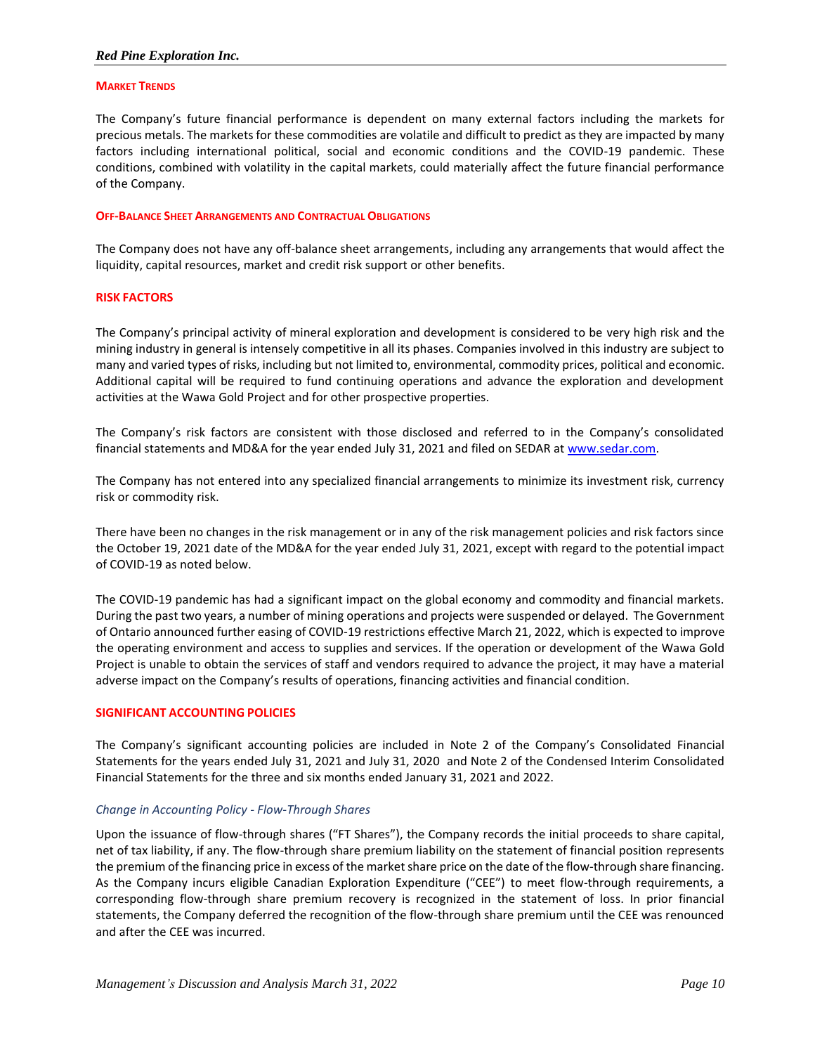#### **MARKET TRENDS**

The Company's future financial performance is dependent on many external factors including the markets for precious metals. The markets for these commodities are volatile and difficult to predict as they are impacted by many factors including international political, social and economic conditions and the COVID-19 pandemic. These conditions, combined with volatility in the capital markets, could materially affect the future financial performance of the Company.

#### **OFF-BALANCE SHEET ARRANGEMENTS AND CONTRACTUAL OBLIGATIONS**

The Company does not have any off-balance sheet arrangements, including any arrangements that would affect the liquidity, capital resources, market and credit risk support or other benefits.

#### **RISK FACTORS**

The Company's principal activity of mineral exploration and development is considered to be very high risk and the mining industry in general is intensely competitive in all its phases. Companies involved in this industry are subject to many and varied types of risks, including but not limited to, environmental, commodity prices, political and economic. Additional capital will be required to fund continuing operations and advance the exploration and development activities at the Wawa Gold Project and for other prospective properties.

The Company's risk factors are consistent with those disclosed and referred to in the Company's consolidated financial statements and MD&A for the year ended July 31, 2021 and filed on SEDAR a[t www.sedar.com.](http://www.sedar.com/)

The Company has not entered into any specialized financial arrangements to minimize its investment risk, currency risk or commodity risk.

There have been no changes in the risk management or in any of the risk management policies and risk factors since the October 19, 2021 date of the MD&A for the year ended July 31, 2021, except with regard to the potential impact of COVID-19 as noted below.

The COVID-19 pandemic has had a significant impact on the global economy and commodity and financial markets. During the past two years, a number of mining operations and projects were suspended or delayed. The Government of Ontario announced further easing of COVID-19 restrictions effective March 21, 2022, which is expected to improve the operating environment and access to supplies and services. If the operation or development of the Wawa Gold Project is unable to obtain the services of staff and vendors required to advance the project, it may have a material adverse impact on the Company's results of operations, financing activities and financial condition.

#### **SIGNIFICANT ACCOUNTING POLICIES**

The Company's significant accounting policies are included in Note 2 of the Company's Consolidated Financial Statements for the years ended July 31, 2021 and July 31, 2020 and Note 2 of the Condensed Interim Consolidated Financial Statements for the three and six months ended January 31, 2021 and 2022.

#### *Change in Accounting Policy - Flow-Through Shares*

Upon the issuance of flow-through shares ("FT Shares"), the Company records the initial proceeds to share capital, net of tax liability, if any. The flow-through share premium liability on the statement of financial position represents the premium of the financing price in excess of the market share price on the date of the flow-through share financing. As the Company incurs eligible Canadian Exploration Expenditure ("CEE") to meet flow-through requirements, a corresponding flow-through share premium recovery is recognized in the statement of loss. In prior financial statements, the Company deferred the recognition of the flow-through share premium until the CEE was renounced and after the CEE was incurred.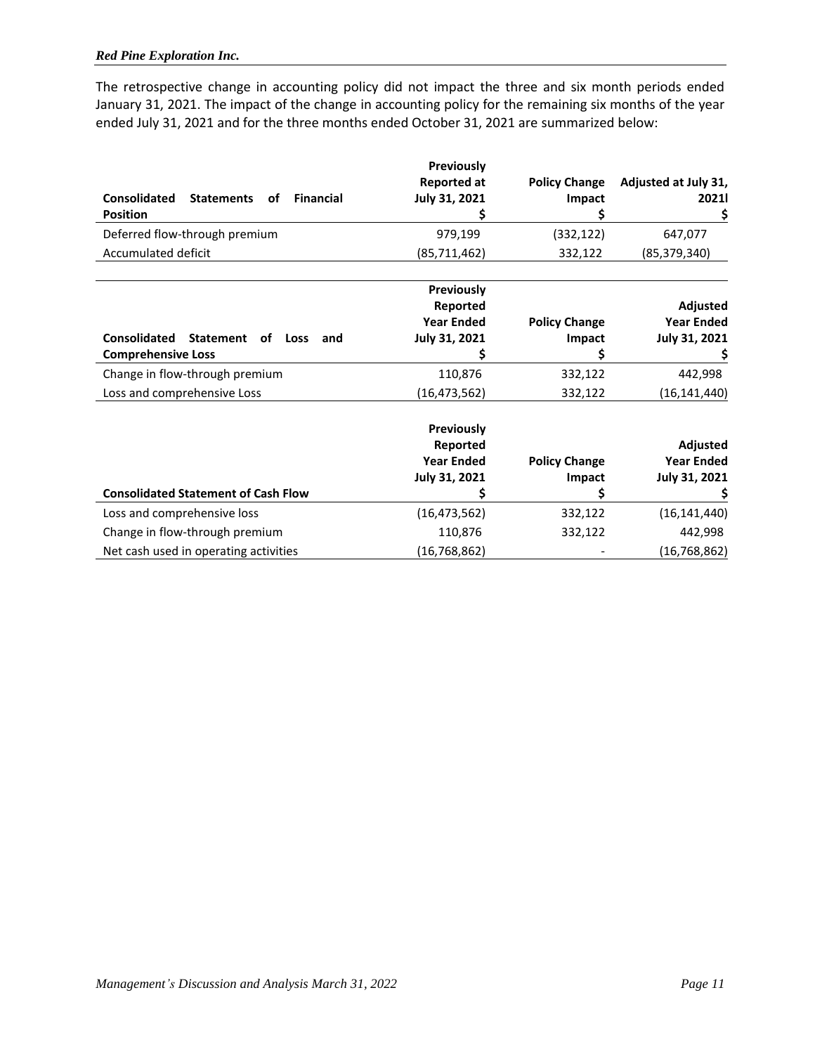The retrospective change in accounting policy did not impact the three and six month periods ended January 31, 2021. The impact of the change in accounting policy for the remaining six months of the year ended July 31, 2021 and for the three months ended October 31, 2021 are summarized below:

|                                                                    | <b>Previously</b><br><b>Reported at</b> | <b>Policy Change</b> | Adjusted at July 31,          |
|--------------------------------------------------------------------|-----------------------------------------|----------------------|-------------------------------|
| <b>Consolidated</b><br><b>Financial</b><br><b>Statements</b><br>οf | <b>July 31, 2021</b>                    | Impact               | 20211                         |
| <b>Position</b>                                                    |                                         |                      | \$                            |
| Deferred flow-through premium                                      | 979,199                                 | (332, 122)           | 647,077                       |
| Accumulated deficit                                                | (85,711,462)                            | 332,122              | (85, 379, 340)                |
|                                                                    | Previously                              |                      |                               |
|                                                                    | Reported<br><b>Year Ended</b>           | <b>Policy Change</b> | Adjusted<br><b>Year Ended</b> |
| <b>Consolidated</b><br><b>Statement</b><br>оf<br>Loss<br>and       | July 31, 2021                           | Impact               | July 31, 2021                 |
| <b>Comprehensive Loss</b>                                          |                                         |                      |                               |
| Change in flow-through premium                                     | 110,876                                 | 332,122              | 442,998                       |
| Loss and comprehensive Loss                                        | (16,473,562)                            | 332,122              | (16,141,440)                  |
|                                                                    | Previously                              |                      |                               |
|                                                                    | Reported                                |                      | Adjusted                      |
|                                                                    | <b>Year Ended</b>                       | <b>Policy Change</b> | <b>Year Ended</b>             |
|                                                                    | July 31, 2021                           | Impact               | July 31, 2021                 |
| <b>Consolidated Statement of Cash Flow</b>                         |                                         |                      |                               |
| Loss and comprehensive loss                                        | (16, 473, 562)                          | 332,122              | (16, 141, 440)                |
| Change in flow-through premium                                     | 110,876                                 | 332,122              | 442,998                       |
| Net cash used in operating activities                              | (16, 768, 862)                          |                      | (16, 768, 862)                |